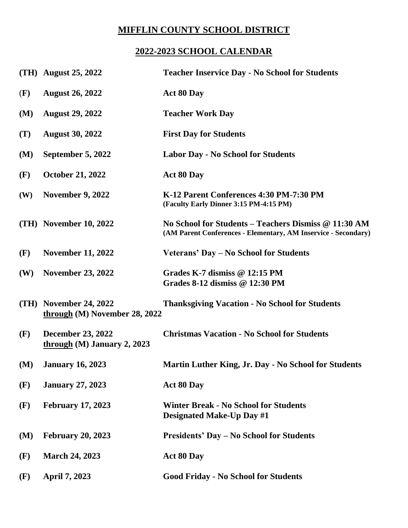## **MIFFLIN COUNTY SCHOOL DISTRICT**

## **2022-2023 SCHOOL CALENDAR**

|      | (TH) August 25, 2022                                      | <b>Teacher Inservice Day - No School for Students</b>                                                                  |
|------|-----------------------------------------------------------|------------------------------------------------------------------------------------------------------------------------|
| (F)  | <b>August 26, 2022</b>                                    | <b>Act 80 Day</b>                                                                                                      |
| (M)  | <b>August 29, 2022</b>                                    | <b>Teacher Work Day</b>                                                                                                |
| (T)  | <b>August 30, 2022</b>                                    | <b>First Day for Students</b>                                                                                          |
| (M)  | September 5, 2022                                         | <b>Labor Day - No School for Students</b>                                                                              |
| (F)  | <b>October 21, 2022</b>                                   | <b>Act 80 Day</b>                                                                                                      |
| (W)  | <b>November 9, 2022</b>                                   | K-12 Parent Conferences 4:30 PM-7:30 PM<br>(Faculty Early Dinner 3:15 PM-4:15 PM)                                      |
|      | $(TH)$ November 10, 2022                                  | No School for Students – Teachers Dismiss @ 11:30 AM<br>(AM Parent Conferences - Elementary, AM Inservice - Secondary) |
| (F)  | <b>November 11, 2022</b>                                  | Veterans' Day – No School for Students                                                                                 |
| (W)  | <b>November 23, 2022</b>                                  | Grades K-7 dismiss $@12:15$ PM<br>Grades 8-12 dismiss @ 12:30 PM                                                       |
| (TH) | <b>November 24, 2022</b><br>through (M) November 28, 2022 | <b>Thanksgiving Vacation - No School for Students</b>                                                                  |
| (F)  | <b>December 23, 2022</b><br>through $(M)$ January 2, 2023 | <b>Christmas Vacation - No School for Students</b>                                                                     |
| (M)  | <b>January 16, 2023</b>                                   | Martin Luther King, Jr. Day - No School for Students                                                                   |
| (F)  | <b>January 27, 2023</b>                                   | <b>Act 80 Day</b>                                                                                                      |
| (F)  | <b>February 17, 2023</b>                                  | <b>Winter Break - No School for Students</b><br><b>Designated Make-Up Day #1</b>                                       |
| (M)  | <b>February 20, 2023</b>                                  | <b>Presidents' Day – No School for Students</b>                                                                        |
| (F)  | <b>March 24, 2023</b>                                     | <b>Act 80 Day</b>                                                                                                      |
| (F)  | April 7, 2023                                             | <b>Good Friday - No School for Students</b>                                                                            |